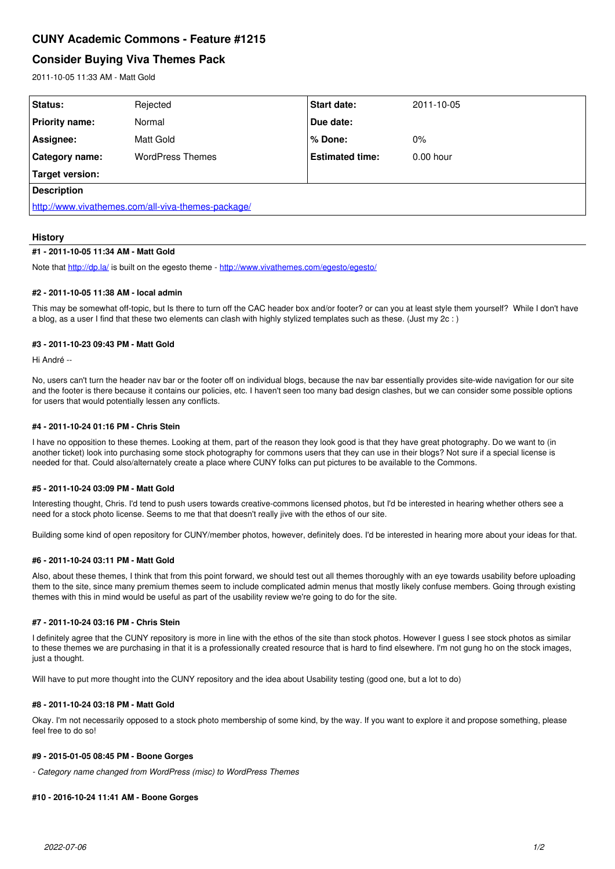# **CUNY Academic Commons - Feature #1215**

# **Consider Buying Viva Themes Pack**

2011-10-05 11:33 AM - Matt Gold

| Rejected                                           | <b>Start date:</b>     | 2011-10-05  |
|----------------------------------------------------|------------------------|-------------|
| Normal                                             | Due date:              |             |
| Matt Gold                                          | % Done:                | 0%          |
| <b>WordPress Themes</b>                            | <b>Estimated time:</b> | $0.00$ hour |
|                                                    |                        |             |
| <b>Description</b>                                 |                        |             |
| http://www.vivathemes.com/all-viva-themes-package/ |                        |             |
|                                                    |                        |             |

### **History**

#### **#1 - 2011-10-05 11:34 AM - Matt Gold**

Note that <http://dp.la/> is built on the egesto theme - <http://www.vivathemes.com/egesto/egesto/>

#### **#2 - 2011-10-05 11:38 AM - local admin**

This may be somewhat off-topic, but Is there to turn off the CAC header box and/or footer? or can you at least style them yourself? While I don't have a blog, as a user I find that these two elements can clash with highly stylized templates such as these. (Just my 2c : )

#### **#3 - 2011-10-23 09:43 PM - Matt Gold**

Hi André --

No, users can't turn the header nay bar or the footer off on individual blogs, because the nay bar essentially provides site-wide navigation for our site and the footer is there because it contains our policies, etc. I haven't seen too many bad design clashes, but we can consider some possible options for users that would potentially lessen any conflicts.

#### **#4 - 2011-10-24 01:16 PM - Chris Stein**

I have no opposition to these themes. Looking at them, part of the reason they look good is that they have great photography. Do we want to (in another ticket) look into purchasing some stock photography for commons users that they can use in their blogs? Not sure if a special license is needed for that. Could also/alternately create a place where CUNY folks can put pictures to be available to the Commons.

#### **#5 - 2011-10-24 03:09 PM - Matt Gold**

Interesting thought, Chris. I'd tend to push users towards creative-commons licensed photos, but I'd be interested in hearing whether others see a need for a stock photo license. Seems to me that that doesn't really jive with the ethos of our site.

Building some kind of open repository for CUNY/member photos, however, definitely does. I'd be interested in hearing more about your ideas for that.

### **#6 - 2011-10-24 03:11 PM - Matt Gold**

Also, about these themes, I think that from this point forward, we should test out all themes thoroughly with an eye towards usability before uploading them to the site, since many premium themes seem to include complicated admin menus that mostly likely confuse members. Going through existing themes with this in mind would be useful as part of the usability review we're going to do for the site.

#### **#7 - 2011-10-24 03:16 PM - Chris Stein**

I definitely agree that the CUNY repository is more in line with the ethos of the site than stock photos. However I guess I see stock photos as similar to these themes we are purchasing in that it is a professionally created resource that is hard to find elsewhere. I'm not gung ho on the stock images, just a thought.

Will have to put more thought into the CUNY repository and the idea about Usability testing (good one, but a lot to do)

## **#8 - 2011-10-24 03:18 PM - Matt Gold**

Okay. I'm not necessarily opposed to a stock photo membership of some kind, by the way. If you want to explore it and propose something, please feel free to do so!

## **#9 - 2015-01-05 08:45 PM - Boone Gorges**

*- Category name changed from WordPress (misc) to WordPress Themes*

#### **#10 - 2016-10-24 11:41 AM - Boone Gorges**